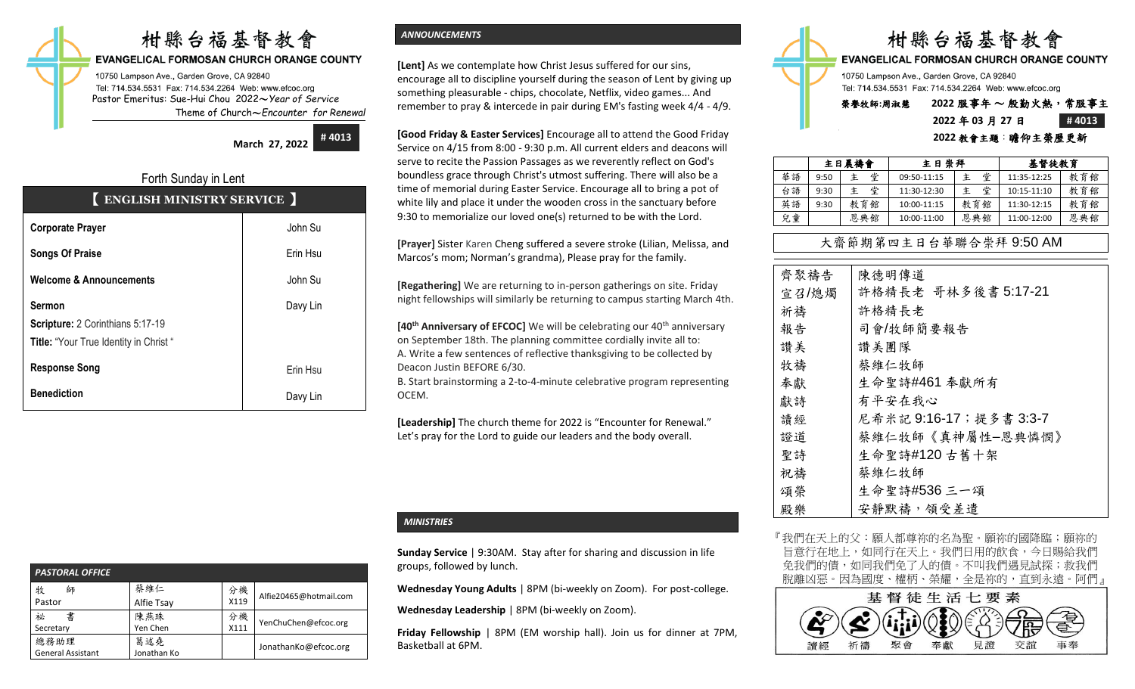# 柑縣台福基督教會

#### EVANGELICAL FORMOSAN CHURCH ORANGE COUNTY

10750 Lampson Ave., Garden Grove, CA 92840 Tel: 714.534.5531 Fax: 714.534.2264 Web: www.efcoc.org Pastor Emeritus: Sue-Hui Chou 2022〜*Year of Service* Theme of Church〜*Encounter for Renewal*

**March 27, 2022**

**# 4013**

# Forth Sunday in Lent 【 **ENGLISH MINISTRY SERVICE** 】

| <b>Corporate Prayer</b>                                                                           | John Su  |
|---------------------------------------------------------------------------------------------------|----------|
| <b>Songs Of Praise</b>                                                                            | Erin Hsu |
| <b>Welcome &amp; Announcements</b>                                                                | John Su  |
| <b>Sermon</b><br>Scripture: 2 Corinthians 5:17-19<br><b>Title: "Your True Identity in Christ"</b> | Davy Lin |
| <b>Response Song</b>                                                                              | Erin Hsu |
| <b>Benediction</b>                                                                                | Davy Lin |

# *ANNOUNCEMENTS*

**[Lent]** As we contemplate how Christ Jesus suffered for our sins, encourage all to discipline yourself during the season of Lent by giving up something pleasurable - chips, chocolate, Netflix, video games... And remember to pray & intercede in pair during EM's fasting week 4/4 - 4/9.

**[Good Friday & Easter Services]** Encourage all to attend the Good Friday Service on 4/15 from 8:00 - 9:30 p.m. All current elders and deacons will serve to recite the Passion Passages as we reverently reflect on God's boundless grace through Christ's utmost suffering. There will also be a time of memorial during Easter Service. Encourage all to bring a pot of white lily and place it under the wooden cross in the sanctuary before 9:30 to memorialize our loved one(s) returned to be with the Lord.

**[Prayer]** Sister Karen Cheng suffered a severe stroke (Lilian, Melissa, and Marcos's mom; Norman's grandma), Please pray for the family.

**[Regathering]** We are returning to in-person gatherings on site. Friday night fellowships will similarly be returning to campus starting March 4th.

**[40<sup>th</sup> Anniversary of EFCOC]** We will be celebrating our 40<sup>th</sup> anniversary on September 18th. The planning committee cordially invite all to: A. Write a few sentences of reflective thanksgiving to be collected by Deacon Justin BEFORE 6/30.

B. Start brainstorming a 2-to-4-minute celebrative program representing **OCEM.** 

**[Leadership]** The church theme for 2022 is "Encounter for Renewal." Let's pray for the Lord to guide our leaders and the body overall.

#### *PASTORAL OFFICE*  牧 師 Pastor 蔡維仁 Alfie Tsay 分機 X119 Alfie20465@hotmail.com 祕 書 Secretary 陳燕珠 Yen Chen 分機  $\frac{\pi}{111}$  YenChuChen@efcoc.org 總務助理 General Assistant 葛述堯 匈処充<br>Jonathan Ko JonathanKo@efcoc.org

# *MINISTRIES*

**Sunday Service** | 9:30AM. Stay after for sharing and discussion in life groups, followed by lunch.

**Wednesday Young Adults** | 8PM (bi-weekly on Zoom). For post-college.

**Wednesday Leadership** | 8PM (bi-weekly on Zoom).

**Friday Fellowship** | 8PM (EM worship hall). Join us for dinner at 7PM, Basketball at 6PM.

|                                           | 柑縣台福基督教會 |  |  |
|-------------------------------------------|----------|--|--|
| EVANGELICAL FORMOSAN CHURCH ORANGE COUNTY |          |  |  |

10750 Lampson Ave., Garden Grove, CA 92840 Tel: 714.534.5531 Fax: 714.534.2264 Web: www.efcoc.org

# 楽譽牧師:周淑慧 2022 服事年~ 殷勤火熱; **2022** 年 **03** 月 **27** 日 **# 4013**

#### **2022** 教會主題:瞻仰主榮歷更新

|    | 主日晨禱會 |        | 主日崇拜        |     | 基督徒教育       |     |  |
|----|-------|--------|-------------|-----|-------------|-----|--|
| 華語 | 9:50  | 堂<br>主 | 09:50-11:15 | 堂   | 11:35-12:25 | 教育館 |  |
| 台語 | 9:30  | 堂<br>主 | 11:30-12:30 | 堂   | 10:15-11:10 | 教育館 |  |
| 英語 | 9:30  | 教育館    | 10:00-11:15 | 教育館 | 11:30-12:15 | 教育館 |  |
| 兒童 |       | 恩典館    | 10:00-11:00 | 恩典館 | 11:00-12:00 | 恩典館 |  |

# 大齋節期第四主日台華聯合崇拜 9:50 AM

| 齊聚禱告  | 陳德明傳道                   |
|-------|-------------------------|
| 宣召/熄燭 | 許格精長老 哥林多後書 5:17-21     |
| 祈禱    | 許格精長老                   |
| 報告    | 司會/牧師簡要報告               |
| 讚美    | 讚美團隊                    |
| 牧禱    | 蔡維仁牧師                   |
| 奉獻    | 生命聖詩#461 奉獻所有           |
| 獻詩    | 有平安在我心                  |
| 讀經    | 尼希米記 9:16-17; 提多書 3:3-7 |
| 證道    | 蔡維仁牧師《真神屬性-恩典憐憫》        |
| 聖詩    | 生命聖詩#120古舊十架            |
| 祝禱    | 蔡維仁牧師                   |
| 頌榮    | 生命聖詩#536 三一頌            |
| 殿樂    | 安靜默禱,領受差遣               |

『我們在天上的父:願人都尊祢的名為聖。願祢的國降臨;願祢的 旨意行在地上,如同行在天上。我們日用的飲食,今日賜給我們 免我們的債,如同我們免了人的債。不叫我們遇見試探;救我們 脫離凶惡。因為國度、權柄、榮耀,全是祢的,直到永遠。阿們